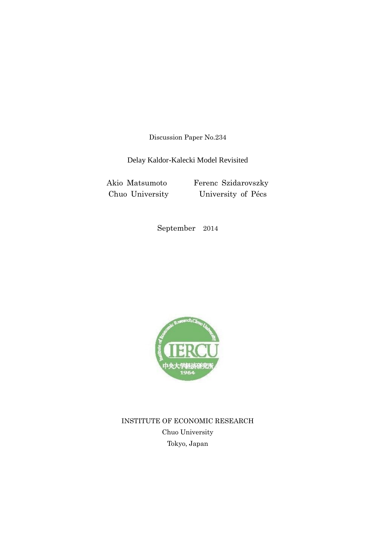Discussion Paper No.234

Delay Kaldor-Kalecki Model Revisited

Akio Matsumoto Ferenc Szidarovszky Chuo University University of Pécs

September 2014



INSTITUTE OF ECONOMIC RESEARCH Chuo University Tokyo, Japan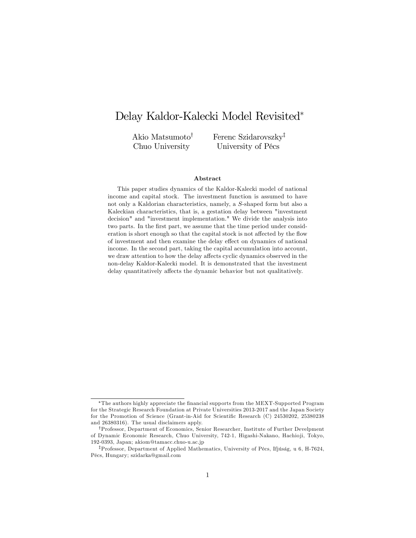# Delay Kaldor-Kalecki Model Revisited

Akio Matsumoto<sup>†</sup> Chuo University

Ferenc Szidarovszky<sup>†</sup> University of Pécs

#### Abstract

This paper studies dynamics of the Kaldor-Kalecki model of national income and capital stock. The investment function is assumed to have not only a Kaldorian characteristics, namely, a S-shaped form but also a Kaleckian characteristics, that is, a gestation delay between "investment decision" and "investment implementation." We divide the analysis into two parts. In the first part, we assume that the time period under consideration is short enough so that the capital stock is not affected by the flow of investment and then examine the delay effect on dynamics of national income. In the second part, taking the capital accumulation into account, we draw attention to how the delay affects cyclic dynamics observed in the non-delay Kaldor-Kalecki model. It is demonstrated that the investment delay quantitatively affects the dynamic behavior but not qualitatively.

The authors highly appreciate the Önancial supports from the MEXT-Supported Program for the Strategic Research Foundation at Private Universities 2013-2017 and the Japan Society for the Promotion of Science (Grant-in-Aid for Scientific Research (C) 24530202, 25380238 and 26380316). The usual disclaimers apply.

yProfessor, Department of Economics, Senior Researcher, Institute of Further Develpment of Dynamic Economic Research, Chuo University, 742-1, Higashi-Nakano, Hachioji, Tokyo, 192-0393, Japan; akiom@tamacc.chuo-u.ac.jp

<sup>&</sup>lt;sup>‡</sup>Professor, Department of Applied Mathematics, University of Pécs, Ifjúság, u 6, H-7624, PÈcs, Hungary; szidarka@gmail.com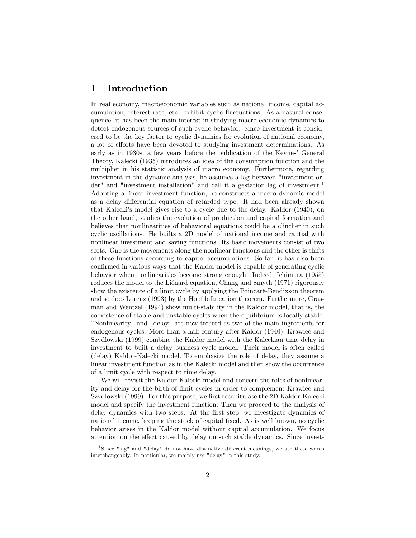### 1 Introduction

In real economy, macroeconomic variables such as national income, capital accumulation, interest rate, etc. exhibit cyclic fluctuations. As a natural consequence, it has been the main interest in studying macro economic dynamics to detect endogenous sources of such cyclic behavior. Since investment is considered to be the key factor to cyclic dynamics for evolution of national economy, a lot of efforts have been devoted to studying investment determinations. As early as in 1930s, a few years before the publication of the Keynes' General Theory, Kalecki (1935) introduces an idea of the consumption function and the multiplier in his statistic analysis of macro economy. Furthermore, regarding investment in the dynamic analysis, he assumes a lag between "investment order" and "investment installation" and call it a gestation lag of investment.<sup>1</sup> Adopting a linear investment function, he constructs a macro dynamic model as a delay differential equation of retarded type. It had been already shown that Kaleckiís model gives rise to a cycle due to the delay. Kaldor (1940), on the other hand, studies the evolution of production and capital formation and believes that nonlinearities of behavioral equations could be a clincher in such cyclic oscillations. He builts a 2D model of national income and captial with nonlinear investment and saving functions. Its basic movements consist of two sorts. One is the movements along the nonlinear functions and the other is shifts of these functions according to capital accumulations. So far, it has also been confirmed in various ways that the Kaldor model is capable of generating cyclic behavior when nonlinearities become strong enough. Indeed, Ichimura (1955) reduces the model to the Liénard equation, Chang and Smyth (1971) rigorously show the existence of a limit cycle by applying the Poincaré-Bendixson theorem and so does Lorenz (1993) by the Hopf bifurcation theorem. Furthermore, Grasman and Wentzel (1994) show multi-stability in the Kaldor model, that is, the coexistence of stable and unstable cycles when the equilibrium is locally stable. "Nonlinearity" and "delay" are now treated as two of the main ingredients for endogenous cycles. More than a half century after Kaldor (1940), Krawiec and Szydlowski (1999) combine the Kaldor model with the Kaleckian time delay in investment to built a delay business cycle model. Their model is often called (delay) Kaldor-Kalecki model. To emphasize the role of delay, they assume a linear investment function as in the Kalecki model and then show the occurrence of a limit cycle with respect to time delay.

We will revisit the Kaldor-Kalecki model and concern the roles of nonlinearity and delay for the birth of limit cycles in order to complement Krawiec and Szydlowski (1999). For this purpose, we first recapitulate the 2D Kaldor-Kalecki model and specify the investment function. Then we proceed to the analysis of delay dynamics with two steps. At the first step, we investigate dynamics of national income, keeping the stock of capital fixed. As is well known, no cyclic behavior arises in the Kaldor model without captial accumulation. We focus attention on the effect caused by delay on such stable dynamics. Since invest-

<sup>&</sup>lt;sup>1</sup>Since "lag" and "delay" do not have distinctive different meanings, we use these words interchangeably. In particular, we mainly use "delay" in this study.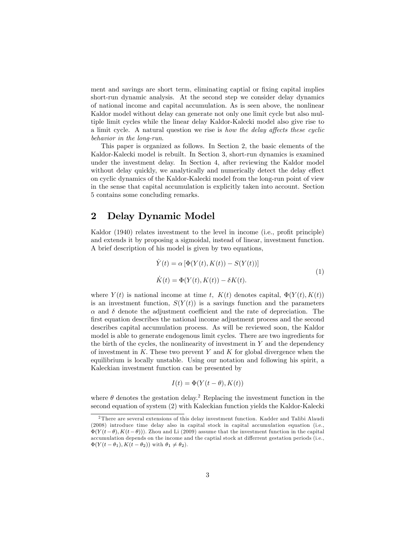ment and savings are short term, eliminating capital or fixing capital implies short-run dynamic analysis. At the second step we consider delay dynamics of national income and capital accumulation. As is seen above, the nonlinear Kaldor model without delay can generate not only one limit cycle but also multiple limit cycles while the linear delay Kaldor-Kalecki model also give rise to a limit cycle. A natural question we rise is how the delay affects these cyclic behavior in the long-run.

This paper is organized as follows. In Section 2, the basic elements of the Kaldor-Kalecki model is rebuilt. In Section 3, short-run dynamics is examined under the investment delay. In Section 4, after reviewing the Kaldor model without delay quickly, we analytically and numerically detect the delay effect on cyclic dynamics of the Kaldor-Kalecki model from the long-run point of view in the sense that capital accumulation is explicitly taken into account. Section 5 contains some concluding remarks.

### 2 Delay Dynamic Model

Kaldor (1940) relates investment to the level in income (i.e., profit principle) and extends it by proposing a sigmoidal, instead of linear, investment function. A brief description of his model is given by two equations,

$$
\dot{Y}(t) = \alpha \left[ \Phi(Y(t), K(t)) - S(Y(t)) \right]
$$
\n
$$
\dot{K}(t) = \Phi(Y(t), K(t)) - \delta K(t).
$$
\n(1)

where  $Y(t)$  is national income at time t,  $K(t)$  denotes capital,  $\Phi(Y(t), K(t))$ is an investment function,  $S(Y(t))$  is a savings function and the parameters  $\alpha$  and  $\delta$  denote the adjustment coefficient and the rate of depreciation. The first equation describes the national income adjustment process and the second describes capital accumulation process. As will be reviewed soon, the Kaldor model is able to generate endogenous limit cycles. There are two ingredients for the birth of the cycles, the nonlinearity of investment in  $Y$  and the dependency of investment in  $K$ . These two prevent Y and K for global divergence when the equilibrium is locally unstable. Using our notation and following his spirit, a Kaleckian investment function can be presented by

$$
I(t) = \Phi(Y(t - \theta), K(t))
$$

where  $\theta$  denotes the gestation delay.<sup>2</sup> Replacing the investment function in the second equation of system (2) with Kaleckian function yields the Kaldor-Kalecki

 $^2$  There are several extensions of this delay investment function. Kadder and Talibi Alaudi (2008) introduce time delay also in capital stock in capital accumulation equation (i.e.,  $\Phi(Y(t - \theta), K(t - \theta))$ . Zhou and Li (2009) assume that the investment function in the capital accumulation depends on the income and the captial stock at different gestation periods (i.e.,  $\Phi(Y(t - \theta_1), K(t - \theta_2))$  with  $\theta_1 \neq \theta_2$ .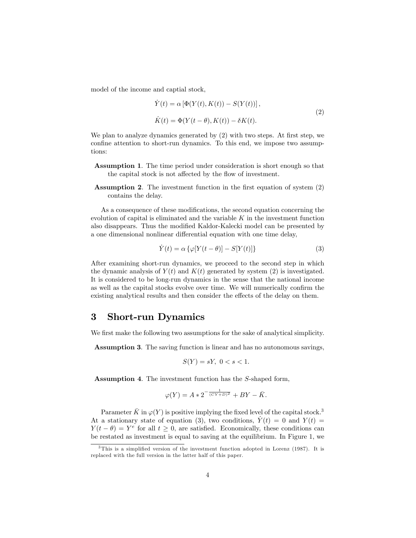model of the income and captial stock,

$$
\dot{Y}(t) = \alpha \left[ \Phi(Y(t), K(t)) - S(Y(t)) \right],
$$
\n
$$
\dot{K}(t) = \Phi(Y(t - \theta), K(t)) - \delta K(t).
$$
\n(2)

We plan to analyze dynamics generated by  $(2)$  with two steps. At first step, we confine attention to short-run dynamics. To this end, we impose two assumptions:

- Assumption 1. The time period under consideration is short enough so that the capital stock is not affected by the flow of investment.
- Assumption 2. The investment function in the first equation of system (2) contains the delay.

As a consequence of these modifications, the second equation concerning the evolution of capital is eliminated and the variable  $K$  in the investment function also disappears. Thus the modified Kaldor-Kalecki model can be presented by a one dimensional nonlinear differential equation with one time delay,

$$
\dot{Y}(t) = \alpha \left\{ \varphi[Y(t-\theta)] - S[Y(t)] \right\} \tag{3}
$$

After examining short-run dynamics, we proceed to the second step in which the dynamic analysis of  $Y(t)$  and  $K(t)$  generated by system (2) is investigated. It is considered to be long-run dynamics in the sense that the national income as well as the capital stocks evolve over time. We will numerically confirm the existing analytical results and then consider the effects of the delay on them.

#### 3 Short-run Dynamics

We first make the following two assumptions for the sake of analytical simplicity.

Assumption 3. The saving function is linear and has no autonomous savings,

$$
S(Y) = sY, \ 0 < s < 1.
$$

Assumption 4. The investment function has the S-shaped form,

$$
\varphi(Y) = A * 2^{-\frac{1}{(CY+D)^2}} + BY - \bar{K}.
$$

Parameter  $\bar{K}$  in  $\varphi(Y)$  is positive implying the fixed level of the capital stock.<sup>3</sup> At a stationary state of equation (3), two conditions,  $\dot{Y}(t) = 0$  and  $Y(t) =$  $Y(t - \theta) = Y^e$  for all  $t \geq 0$ , are satisfied. Economically, these conditions can be restated as investment is equal to saving at the equilibrium. In Figure 1, we

 $3$ This is a simplified version of the investment function adopted in Lorenz (1987). It is replaced with the full version in the latter half of this paper.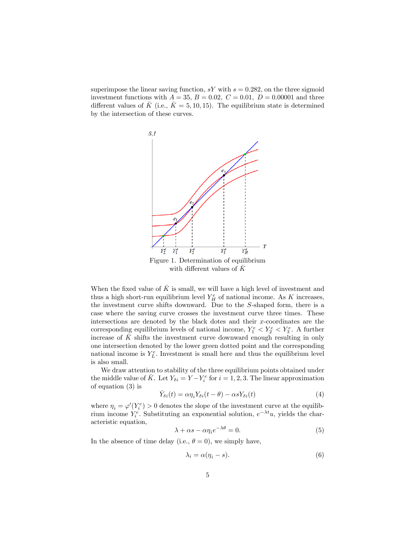superimpose the linear saving function,  $sY$  with  $s = 0.282$ , on the three sigmoid investment functions with  $A = 35, B = 0.02, C = 0.01, D = 0.00001$  and three different values of  $\bar{K}$  (i.e.,  $\bar{K} = 5, 10, 15$ ). The equilibrium state is determined by the intersection of these curves.



When the fixed value of  $\overline{K}$  is small, we will have a high level of investment and thus a high short-run equilibrium level  $Y_H^e$  of national income. As K increases, the investment curve shifts downward. Due to the S-shaped form, there is a case where the saving curve crosses the investment curve three times. These intersections are denoted by the black dotes and their  $x$ -coordinates are the corresponding equilibrium levels of national income,  $Y_1^e < Y_2^e < Y_3^e$ . A further increase of  $\overline{K}$  shifts the investment curve downward enough resulting in only one intersection denoted by the lower green dotted point and the corresponding national income is  $Y_L^e$ . Investment is small here and thus the equilibrium level is also small.

We draw attention to stability of the three equilibrium points obtained under the middle value of  $\bar{K}$ . Let  $Y_{\delta i} = Y - Y_i^e$  for  $i = 1, 2, 3$ . The linear approximation of equation (3) is

$$
\dot{Y}_{\delta i}(t) = \alpha \eta_i Y_{\delta i}(t - \theta) - \alpha s Y_{\delta i}(t) \tag{4}
$$

where  $\eta_i = \varphi'(Y_i^e) > 0$  denotes the slope of the investment curve at the equilibrium income  $Y_i^e$ . Substituting an exponential solution,  $e^{-\lambda t}u$ , yields the characteristic equation,

$$
\lambda + \alpha s - \alpha \eta_i e^{-\lambda \theta} = 0. \tag{5}
$$

In the absence of time delay (i.e.,  $\theta = 0$ ), we simply have,

$$
\lambda_i = \alpha(\eta_i - s). \tag{6}
$$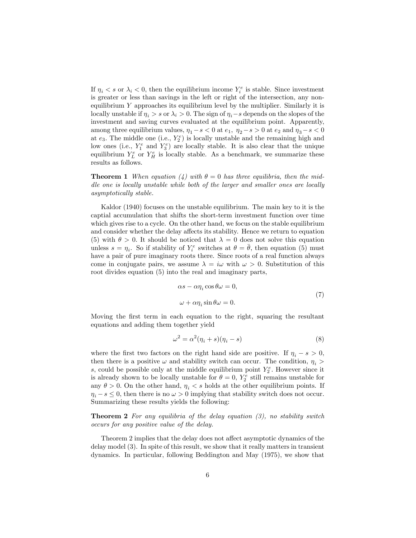If  $\eta_i < s$  or  $\lambda_i < 0$ , then the equilibrium income  $Y_i^e$  is stable. Since investment is greater or less than savings in the left or right of the intersection, any nonequilibrium  $Y$  approaches its equilibrium level by the multiplier. Similarly it is locally unstable if  $\eta_i > s$  or  $\lambda_i > 0$ . The sign of  $\eta_i - s$  depends on the slopes of the investment and saving curves evaluated at the equilibrium point. Apparently, among three equilibrium values,  $\eta_1 - s < 0$  at  $e_1$ ,  $\eta_2 - s > 0$  at  $e_2$  and  $\eta_3 - s < 0$ at  $e_3$ . The middle one (i.e.,  $Y_2^e$ ) is locally unstable and the remaining high and low ones (i.e.,  $Y_1^e$  and  $Y_3^e$ ) are locally stable. It is also clear that the unique equilibrium  $Y_L^e$  or  $Y_H^e$  is locally stable. As a benchmark, we summarize these results as follows.

**Theorem 1** When equation (4) with  $\theta = 0$  has three equilibria, then the middle one is locally unstable while both of the larger and smaller ones are locally asymptotically stable.

Kaldor (1940) focuses on the unstable equilibrium. The main key to it is the captial accumulation that shifts the short-term investment function over time which gives rise to a cycle. On the other hand, we focus on the stable equilibrium and consider whether the delay affects its stability. Hence we return to equation (5) with  $\theta > 0$ . It should be noticed that  $\lambda = 0$  does not solve this equation unless  $s = \eta_i$ . So if stability of  $Y_i^e$  switches at  $\theta = \overline{\theta}$ , then equation (5) must have a pair of pure imaginary roots there. Since roots of a real function always come in conjugate pairs, we assume  $\lambda = i\omega$  with  $\omega > 0$ . Substitution of this root divides equation (5) into the real and imaginary parts,

$$
\alpha s - \alpha \eta_i \cos \theta \omega = 0,
$$
  

$$
\omega + \alpha \eta_i \sin \theta \omega = 0.
$$
 (7)

Moving the first term in each equation to the right, squaring the resultant equations and adding them together yield

$$
\omega^2 = \alpha^2 (\eta_i + s)(\eta_i - s) \tag{8}
$$

where the first two factors on the right hand side are positive. If  $\eta_i - s > 0$ , then there is a positive  $\omega$  and stability switch can occur. The condition,  $\eta_i$  > s, could be possible only at the middle equilibrium point  $Y_2^e$ . However since it is already shown to be locally unstable for  $\theta = 0$ ,  $Y_2^e$  still remains unstable for any  $\theta > 0$ . On the other hand,  $\eta_i < s$  holds at the other equilibrium points. If  $\eta_i - s \leq 0$ , then there is no  $\omega > 0$  implying that stability switch does not occur. Summarizing these results yields the following:

**Theorem 2** For any equilibria of the delay equation  $(3)$ , no stability switch occurs for any positive value of the delay.

Theorem 2 implies that the delay does not affect asymptotic dynamics of the delay model (3). In spite of this result, we show that it really matters in transient dynamics. In particular, following Beddington and May (1975), we show that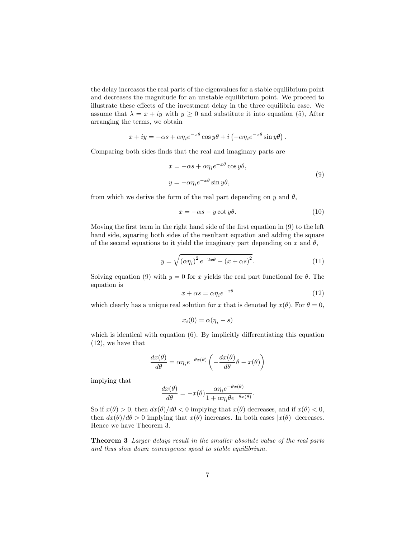the delay increases the real parts of the eigenvalues for a stable equilibrium point and decreases the magnitude for an unstable equilibrium point. We proceed to illustrate these effects of the investment delay in the three equilibria case. We assume that  $\lambda = x + iy$  with  $y \ge 0$  and substitute it into equation (5), After arranging the terms, we obtain

$$
x + iy = -\alpha s + \alpha \eta_i e^{-x\theta} \cos y\theta + i \left( -\alpha \eta_i e^{-x\theta} \sin y\theta \right).
$$

Comparing both sides finds that the real and imaginary parts are

$$
x = -\alpha s + \alpha \eta_i e^{-x\theta} \cos y\theta,
$$
  

$$
y = -\alpha \eta_i e^{-x\theta} \sin y\theta,
$$
 (9)

from which we derive the form of the real part depending on y and  $\theta$ ,

$$
x = -\alpha s - y \cot y \theta. \tag{10}
$$

Moving the first term in the right hand side of the first equation in  $(9)$  to the left hand side, squaring both sides of the resultant equation and adding the square of the second equations to it yield the imaginary part depending on x and  $\theta$ ,

$$
y = \sqrt{\left(\alpha \eta_i\right)^2 e^{-2x\theta} - \left(x + \alpha s\right)^2}.\tag{11}
$$

Solving equation (9) with  $y = 0$  for x yields the real part functional for  $\theta$ . The equation is

$$
x + \alpha s = \alpha \eta_i e^{-x\theta} \tag{12}
$$

which clearly has a unique real solution for x that is denoted by  $x(\theta)$ . For  $\theta = 0$ ,

$$
x_i(0) = \alpha(\eta_i - s)
$$

which is identical with equation  $(6)$ . By implicitly differentiating this equation (12), we have that

$$
\frac{dx(\theta)}{d\theta} = \alpha \eta_i e^{-\theta x(\theta)} \left( -\frac{dx(\theta)}{d\theta} \theta - x(\theta) \right)
$$

implying that

$$
\frac{dx(\theta)}{d\theta} = -x(\theta) \frac{\alpha \eta_i e^{-\theta x(\theta)}}{1 + \alpha \eta_i \theta e^{-\theta x(\theta)}}.
$$

So if  $x(\theta) > 0$ , then  $dx(\theta)/d\theta < 0$  implying that  $x(\theta)$  decreases, and if  $x(\theta) < 0$ , then  $dx(\theta)/d\theta > 0$  implying that  $x(\theta)$  increases. In both cases  $|x(\theta)|$  decreases. Hence we have Theorem 3.

Theorem 3 Larger delays result in the smaller absolute value of the real parts and thus slow down convergence speed to stable equilibrium.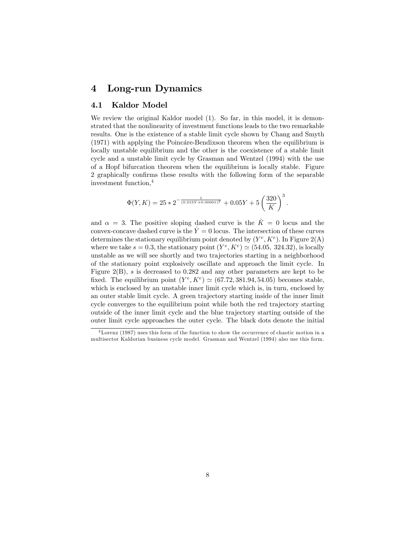### 4 Long-run Dynamics

#### 4.1 Kaldor Model

We review the original Kaldor model  $(1)$ . So far, in this model, it is demonstrated that the nonlinearity of investment functions leads to the two remarkable results. One is the existence of a stable limit cycle shown by Chang and Smyth  $(1971)$  with applying the Poincáre-Bendixson theorem when the equilibrium is locally unstable equilibrium and the other is the coexistence of a stable limit cycle and a unstable limit cycle by Grasman and Wentzel (1994) with the use of a Hopf bifurcation theorem when the equilibrium is locally stable. Figure 2 graphically confirms these results with the following form of the separable investment function,<sup>4</sup>

$$
\Phi(Y,K) = 25 \times 2^{-\frac{1}{(0.015Y + 0.00001)^2}} + 0.05Y + 5\left(\frac{320}{K}\right)^3
$$

:

and  $\alpha = 3$ . The positive sloping dashed curve is the  $\dot{K} = 0$  locus and the convex-concave dashed curve is the  $\dot{Y} = 0$  locus. The intersection of these curves determines the stationary equilibrium point denoted by  $(Y^e, K^e)$ . In Figure 2(A) where we take  $s = 0.3$ , the stationary point  $(Y^e, K^e) \simeq (54.05, 324.32)$ , is locally unstable as we will see shortly and two trajectories starting in a neighborhood of the stationary point explosively oscillate and approach the limit cycle. In Figure 2(B),  $s$  is decreased to 0.282 and any other parameters are kept to be fixed. The equilibrium point  $(Y^e, K^e) \simeq (67.72, 381.94, 54.05)$  becomes stable, which is enclosed by an unstable inner limit cycle which is, in turn, enclosed by an outer stable limit cycle. A green trajectory starting inside of the inner limit cycle converges to the equilibrium point while both the red trajectory starting outside of the inner limit cycle and the blue trajectory starting outside of the outer limit cycle approaches the outer cycle. The black dots denote the initial

<sup>4</sup>Lorenz (1987) uses this form of the function to show the occurrence of chaotic motion in a multisector Kaldorian business cycle model. Grasman and Wentzel (1994) also use this form.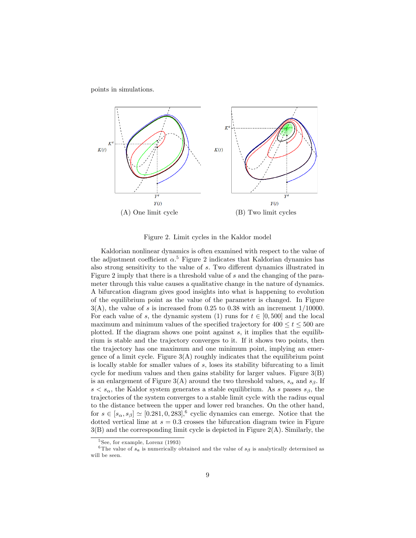points in simulations.



Figure 2. Limit cycles in the Kaldor model

Kaldorian nonlinear dynamics is often examined with respect to the value of the adjustment coefficient  $\alpha$ <sup>5</sup> Figure 2 indicates that Kaldorian dynamics has also strong sensitivity to the value of  $s$ . Two different dynamics illustrated in Figure 2 imply that there is a threshold value of s and the changing of the parameter through this value causes a qualitative change in the nature of dynamics. A bifurcation diagram gives good insights into what is happening to evolution of the equilibrium point as the value of the parameter is changed. In Figure  $3(A)$ , the value of s is increased from 0.25 to 0.38 with an increment 1/10000. For each value of s, the dynamic system (1) runs for  $t \in [0, 500]$  and the local maximum and minimum values of the specified trajectory for  $400 \le t \le 500$  are plotted. If the diagram shows one point against  $s$ , it implies that the equilibrium is stable and the trajectory converges to it. If it shows two points, then the trajectory has one maximum and one minimum point, implying an emergence of a limit cycle. Figure  $3(A)$  roughly indicates that the equilibrium point is locally stable for smaller values of  $s$ , loses its stability bifurcating to a limit cycle for medium values and then gains stability for larger values. Figure  $3(B)$ is an enlargement of Figure 3(A) around the two threshold values,  $s_{\alpha}$  and  $s_{\beta}$ . If  $s < s_{\alpha}$ , the Kaldor system generates a stable equilibrium. As s passes  $s_{\beta}$ , the trajectories of the system converges to a stable limit cycle with the radius equal to the distance between the upper and lower red branches. On the other hand, for  $s \in [s_\alpha, s_\beta] \simeq [0.281, 0, 283]$ , cyclic dynamics can emerge. Notice that the dotted vertical lime at  $s = 0.3$  crosses the bifurcation diagram twice in Figure 3(B) and the corresponding limit cycle is depicted in Figure 2(A). Similarly, the

<sup>&</sup>lt;sup>5</sup> See, for example, Lorenz (1993)

<sup>&</sup>lt;sup>6</sup>The value of  $s_a$  is numerically obtained and the value of  $s_\beta$  is analytically determined as will be seen.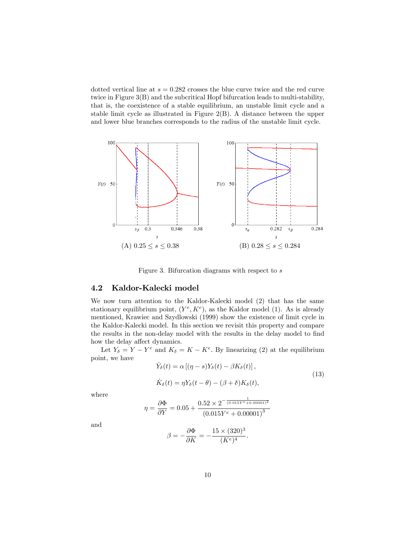dotted vertical line at  $s = 0.282$  crosses the blue curve twice and the red curve twice in Figure 3(B) and the subcritical Hopf bifurcation leads to multi-stability, that is, the coexistence of a stable equilibrium, an unstable limit cycle and a stable limit cycle as illustrated in Figure 2(B). A distance between the upper and lower blue branches corresponds to the radius of the unstable limit cycle.



Figure 3. Bifurcation diagrams with respect to s

#### 4.2 Kaldor-Kalecki model

We now turn attention to the Kaldor-Kalecki model (2) that has the same stationary equilibrium point,  $(Y^e, K^e)$ , as the Kaldor model (1). As is already mentioned, Krawiec and Szydlowski (1999) show the existence of limit cycle in the Kaldor-Kalecki model. In this section we revisit this property and compare the results in the non-delay model with the results in the delay model to find how the delay affect dynamics.

Let  $Y_{\delta} = Y - Y^e$  and  $K_{\delta} = K - K^e$ . By linearizing (2) at the equilibrium point, we have

$$
\dot{Y}_{\delta}(t) = \alpha \left[ (\eta - s) Y_{\delta}(t) - \beta K_{\delta}(t) \right],
$$
\n
$$
\dot{K}_{\delta}(t) = \eta Y_{\delta}(t - \theta) - (\beta + \delta) K_{\delta}(t),
$$
\n(13)

where

$$
\eta = \frac{\partial \Phi}{\partial Y} = 0.05 + \frac{0.52 \times 2^{-\frac{1}{(0.015Y^e + 0.00001)^2}}}{(0.015Y^e + 0.00001)^3}
$$

and

$$
\beta = -\frac{\partial \Phi}{\partial K} = -\frac{15 \times (320)^3}{(K^e)^4}.
$$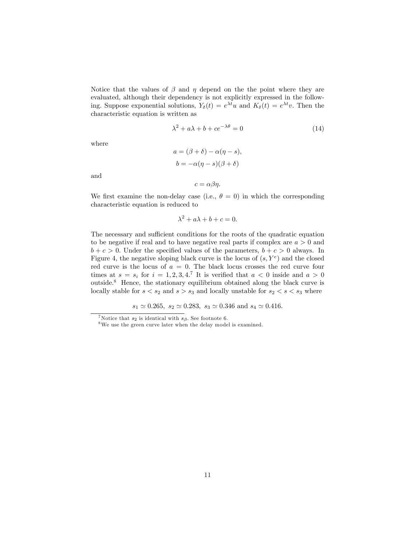Notice that the values of  $\beta$  and  $\eta$  depend on the the point where they are evaluated, although their dependency is not explicitly expressed in the following. Suppose exponential solutions,  $Y_{\delta}(t) = e^{\lambda t}u$  and  $K_{\delta}(t) = e^{\lambda t}v$ . Then the characteristic equation is written as

$$
\lambda^2 + a\lambda + b + ce^{-\lambda\theta} = 0\tag{14}
$$

where

$$
a = (\beta + \delta) - \alpha(\eta - s),
$$
  

$$
b = -\alpha(\eta - s)(\beta + \delta)
$$

and

 $c = \alpha \beta \eta$ .

We first examine the non-delay case (i.e.,  $\theta = 0$ ) in which the corresponding characteristic equation is reduced to

$$
\lambda^2 + a\lambda + b + c = 0.
$$

The necessary and sufficient conditions for the roots of the quadratic equation to be negative if real and to have negative real parts if complex are  $a > 0$  and  $b + c > 0$ . Under the specified values of the parameters,  $b + c > 0$  always. In Figure 4, the negative sloping black curve is the locus of  $(s, Y^e)$  and the closed red curve is the locus of  $a = 0$ . The black locus crosses the red curve four times at  $s = s_i$  for  $i = 1, 2, 3, 4$ .<sup>7</sup> It is verified that  $a < 0$  inside and  $a > 0$ outside.<sup>8</sup> Hence, the stationary equilibrium obtained along the black curve is locally stable for  $s < s_2$  and  $s > s_3$  and locally unstable for  $s_2 < s < s_3$  where

 $s_1 \simeq 0.265$ ,  $s_2 \simeq 0.283$ ,  $s_3 \simeq 0.346$  and  $s_4 \simeq 0.416$ .

<sup>&</sup>lt;sup>7</sup>Notice that  $s_2$  is identical with  $s_\beta$ . See footnote 6.

<sup>8</sup>We use the green curve later when the delay model is examined.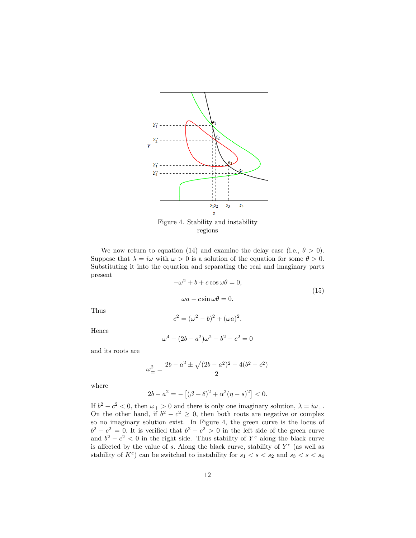

Figure 4. Stability and instability regions

We now return to equation (14) and examine the delay case (i.e.,  $\theta > 0$ ). Suppose that  $\lambda = i\omega$  with  $\omega > 0$  is a solution of the equation for some  $\theta > 0$ . Substituting it into the equation and separating the real and imaginary parts present

$$
-\omega^2 + b + c \cos \omega \theta = 0,
$$
  

$$
\omega a - c \sin \omega \theta = 0.
$$
 (15)

Thus

$$
c^{2} = (\omega^{2} - b)^{2} + (\omega a)^{2}.
$$

Hence

$$
\omega^4 - (2b - a^2)\omega^2 + b^2 - c^2 = 0
$$

and its roots are

$$
\omega_{\pm}^2 = \frac{2b - a^2 \pm \sqrt{(2b - a^2)^2 - 4(b^2 - c^2)}}{2}
$$

where

$$
2b - a^2 = -[(\beta + \delta)^2 + \alpha^2(\eta - s)^2] < 0.
$$

If  $b^2 - c^2 < 0$ , then  $\omega_+ > 0$  and there is only one imaginary solution,  $\lambda = i\omega_+$ . On the other hand, if  $b^2 - c^2 \geq 0$ , then both roots are negative or complex so no imaginary solution exist. In Figure 4, the green curve is the locus of  $b^2 - c^2 = 0$ . It is verified that  $b^2 - c^2 > 0$  in the left side of the green curve and  $b^2 - c^2 < 0$  in the right side. Thus stability of  $Y^e$  along the black curve is affected by the value of s. Along the black curve, stability of  $Y^e$  (as well as stability of  $K^e$ ) can be switched to instability for  $s_1 < s < s_2$  and  $s_3 < s < s_4$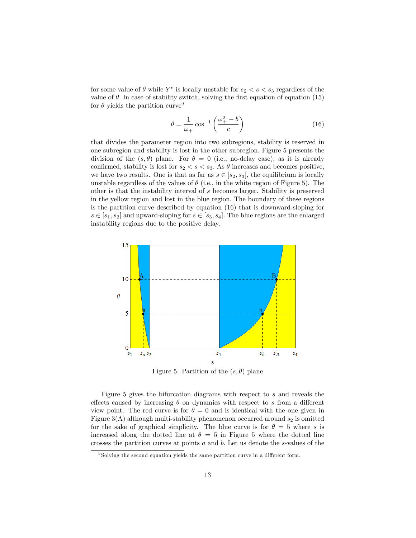for some value of  $\theta$  while  $Y^e$  is locally unstable for  $s_2 < s < s_3$  regardless of the value of  $\theta$ . In case of stability switch, solving the first equation of equation (15) for  $\theta$  yields the partition curve<sup>9</sup>

$$
\theta = \frac{1}{\omega_+} \cos^{-1} \left( \frac{\omega_+^2 - b}{c} \right) \tag{16}
$$

that divides the parameter region into two subregions, stability is reserved in one subregion and stability is lost in the other subregion. Figure 5 presents the division of the  $(s, \theta)$  plane. For  $\theta = 0$  (i.e., no-delay case), as it is already confirmed, stability is lost for  $s_2 < s < s_3$ . As  $\theta$  increases and becomes positive, we have two results. One is that as far as  $s \in [s_2, s_3]$ , the equilibrium is locally unstable regardless of the values of  $\theta$  (i.e., in the white region of Figure 5). The other is that the instability interval of s becomes larger. Stability is preserved in the yellow region and lost in the blue region. The boundary of these regions is the partition curve described by equation (16) that is downward-sloping for  $s \in [s_1, s_2]$  and upward-sloping for  $s \in [s_3, s_4]$ . The blue regions are the enlarged instability regions due to the positive delay.



Figure 5. Partition of the  $(s, \theta)$  plane

Figure 5 gives the bifurcation diagrams with respect to s and reveals the effects caused by increasing  $\theta$  on dynamics with respect to s from a different view point. The red curve is for  $\theta = 0$  and is identical with the one given in Figure  $3(A)$  although multi-stability phenomenon occurred around  $s_2$  is omitted for the sake of graphical simplicity. The blue curve is for  $\theta = 5$  where s is increased along the dotted line at  $\theta = 5$  in Figure 5 where the dotted line crosses the partition curves at points a and b: Let us denote the s-values of the

 $9$  Solving the second equation yields the same partition curve in a different form.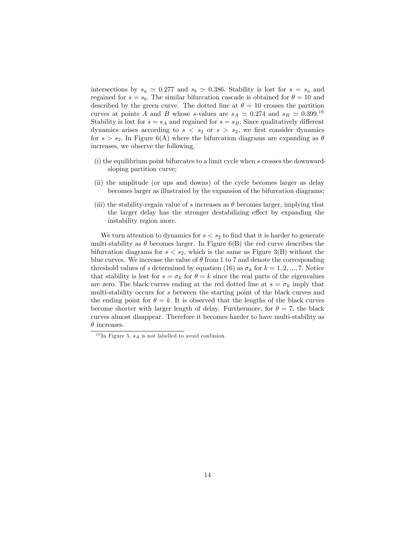intersections by  $s_a \simeq 0.277$  and  $s_b \simeq 0.386$ . Stability is lost for  $s = s_a$  and regained for  $s = s_b$ . The similar bifurcation cascade is obtained for  $\theta = 10$  and described by the green curve. The dotted line at  $\theta = 10$  crosses the partition curves at points A and B whose s-values are  $s_A \simeq 0.274$  and  $s_B \simeq 0.399$ .<sup>10</sup> Stability is lost for  $s = s_A$  and regained for  $s = s_B$ . Since qualitatively different dynamics arises according to  $s < s_2$  or  $s > s_2$ , we first consider dynamics for  $s > s_2$ . In Figure 6(A) where the bifurcation diagrams are expanding as  $\theta$ increases, we observe the following,

- (i) the equilibrium point bifurcates to a limit cycle when s crosses the downwardsloping partition curve;
- (ii) the amplitude (or ups and downs) of the cycle becomes larger as delay becomes larger as illustrated by the expansion of the bifurcation diagrams;
- (iii) the stability-regain value of s increases as  $\theta$  becomes larger, implying that the larger delay has the stronger destabilizing effect by expanding the instability region more.

We turn attention to dynamics for  $s < s_2$  to find that it is harder to generate multi-stability as  $\theta$  becomes larger. In Figure 6(B) the red curve describes the bifurcation diagrams for  $s < s_2$ , which is the same as Figure 3(B) without the blue curves. We increase the value of  $\theta$  from 1 to 7 and denote the corresponding threshold values of s determined by equation (16) as  $\sigma_k$  for  $k = 1, 2, ..., 7$ . Notice that stability is lost for  $s = \sigma_k$  for  $\theta = k$  since the real parts of the eigenvalues are zero. The black curves ending at the red dotted line at  $s = \sigma_k$  imply that multi-stability occurs for s between the starting point of the black curves and the ending point for  $\theta = k$ . It is observed that the lengths of the black curves become shorter with larger length of delay. Furthermore, for  $\theta = 7$ , the black curves almost disappear. Therefore it becomes harder to have multi-stability as  $\theta$  increases.

 $10\,\mathrm{In}$  Figure 5,  $s_A$  is not labelled to avoid confusion.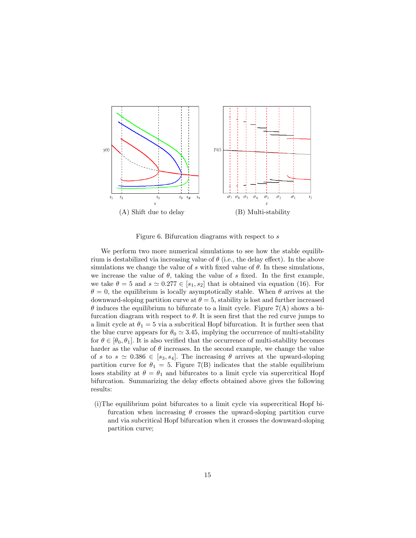

Figure 6. Bifurcation diagrams with respect to s

We perform two more numerical simulations to see how the stable equilibrium is destabilized via increasing value of  $\theta$  (i.e., the delay effect). In the above simulations we change the value of s with fixed value of  $\theta$ . In these simulations, we increase the value of  $\theta$ , taking the value of s fixed. In the first example, we take  $\theta = 5$  and  $s \approx 0.277 \in [s_1, s_2]$  that is obtained via equation (16). For  $\theta = 0$ , the equilibrium is locally asymptotically stable. When  $\theta$  arrives at the downward-sloping partition curve at  $\theta = 5$ , stability is lost and further increased  $\theta$  induces the equilibrium to bifurcate to a limit cycle. Figure 7(A) shows a bifurcation diagram with respect to  $\theta$ . It is seen first that the red curve jumps to a limit cycle at  $\theta_1 = 5$  via a subcritical Hopf bifurcation. It is further seen that the blue curve appears for  $\theta_0 \simeq 3.45$ , implying the occurrence of multi-stability for  $\theta \in [\theta_0, \theta_1]$ . It is also verified that the occurrence of multi-stability becomes harder as the value of  $\theta$  increases. In the second example, we change the value of s to  $s \approx 0.386 \in [s_3, s_4]$ . The increasing  $\theta$  arrives at the upward-sloping partition curve for  $\theta_1 = 5$ . Figure 7(B) indicates that the stable equilibrium loses stability at  $\theta = \theta_1$  and bifurcates to a limit cycle via supercritical Hopf bifurcation. Summarizing the delay effects obtained above gives the following results:

(i)The equilibrium point bifurcates to a limit cycle via supercritical Hopf bifurcation when increasing  $\theta$  crosses the upward-sloping partition curve and via subcritical Hopf bifurcation when it crosses the downward-sloping partition curve;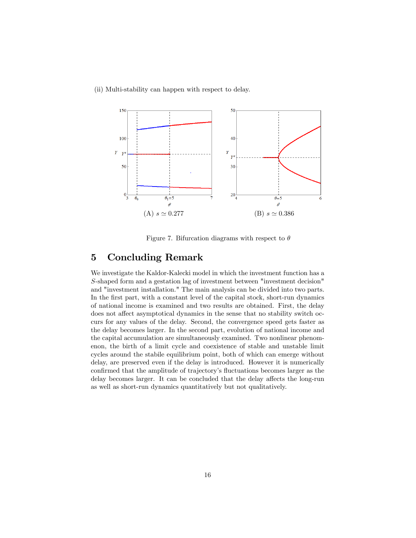(ii) Multi-stability can happen with respect to delay.



Figure 7. Bifurcation diagrams with respect to  $\theta$ 

## 5 Concluding Remark

We investigate the Kaldor-Kalecki model in which the investment function has a S-shaped form and a gestation lag of investment between "investment decision" and "investment installation." The main analysis can be divided into two parts. In the first part, with a constant level of the capital stock, short-run dynamics of national income is examined and two results are obtained. First, the delay does not affect asymptotical dynamics in the sense that no stability switch occurs for any values of the delay. Second, the convergence speed gets faster as the delay becomes larger. In the second part, evolution of national income and the capital accumulation are simultaneously examined. Two nonlinear phenomenon, the birth of a limit cycle and coexistence of stable and unstable limit cycles around the stabile equilibrium point, both of which can emerge without delay, are preserved even if the delay is introduced. However it is numerically confirmed that the amplitude of trajectory's fluctuations becomes larger as the delay becomes larger. It can be concluded that the delay affects the long-run as well as short-run dynamics quantitatively but not qualitatively.